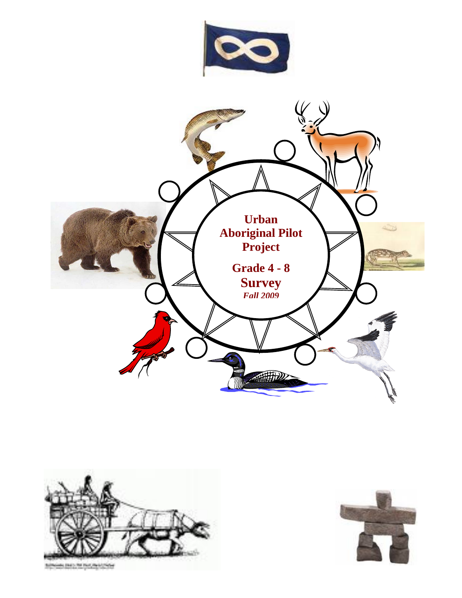



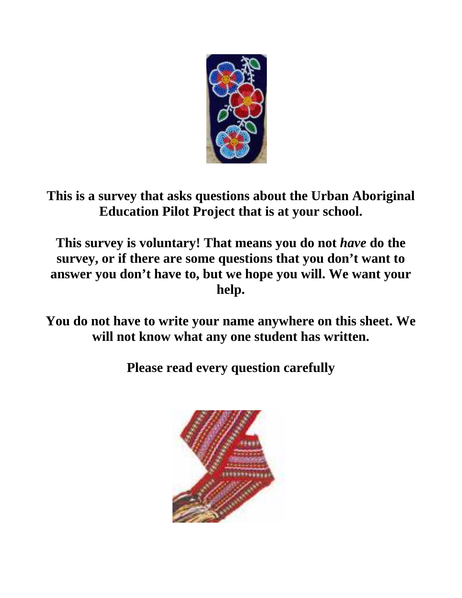

**This is a survey that asks questions about the Urban Aboriginal Education Pilot Project that is at your school.** 

**This survey is voluntary! That means you do not** *have* **do the survey, or if there are some questions that you don't want to answer you don't have to, but we hope you will. We want your help.** 

**You do not have to write your name anywhere on this sheet. We will not know what any one student has written.** 

**Please read every question carefully** 

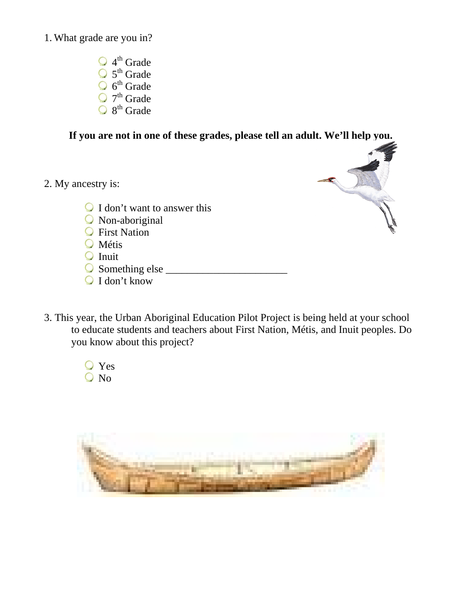1. What grade are you in?

 $\bigcirc$  4<sup>th</sup> Grade 5<sup>th</sup> Grade  $6<sup>th</sup>$  Grade 7<sup>th</sup> Grade 8<sup>th</sup> Grade

**If you are not in one of these grades, please tell an adult. We'll help you.** 

2. My ancestry is:



- I don't want to answer this
- Non-aboriginal
- **C** First Nation
- **O** Métis
- $\bigcirc$  Inuit
- Something else \_\_\_\_\_\_\_\_\_\_\_\_\_\_\_\_\_\_\_\_\_\_\_
- $\bigcirc$  I don't know
- 3. This year, the Urban Aboriginal Education Pilot Project is being held at your school to educate students and teachers about First Nation, Métis, and Inuit peoples. Do you know about this project?
	- Yes Q No

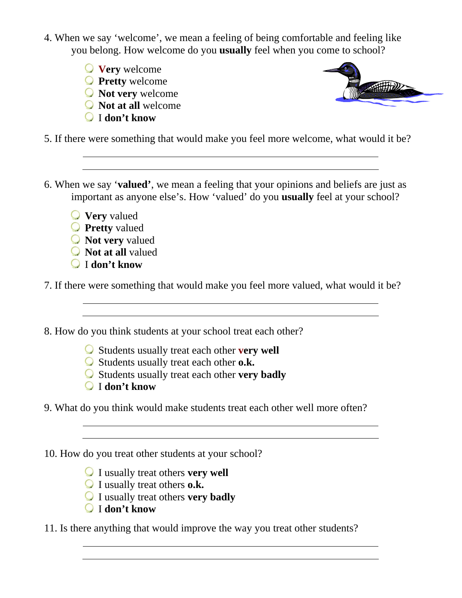- 4. When we say 'welcome', we mean a feeling of being comfortable and feeling like you belong. How welcome do you **usually** feel when you come to school?
	- **Very** welcome
	- **Pretty** welcome
	- **Not very** welcome
	- **Not at all** welcome
	- I **don't know**



5. If there were something that would make you feel more welcome, what would it be?

- 6. When we say '**valued'**, we mean a feeling that your opinions and beliefs are just as important as anyone else's. How 'valued' do you **usually** feel at your school?
	- **Very** valued
	- **Pretty** valued
	- **Not very** valued
	- **Not at all** valued
	- I **don't know**

7. If there were something that would make you feel more valued, what would it be?

- 8. How do you think students at your school treat each other?
	- Students usually treat each other **very well**
	- Students usually treat each other **o.k.**
	- Students usually treat each other **very badly**
	- I **don't know**
- 9. What do you think would make students treat each other well more often?

10. How do you treat other students at your school?

I usually treat others **very well**

- I usually treat others **o.k.**
- I usually treat others **very badly**
- I **don't know**

11. Is there anything that would improve the way you treat other students?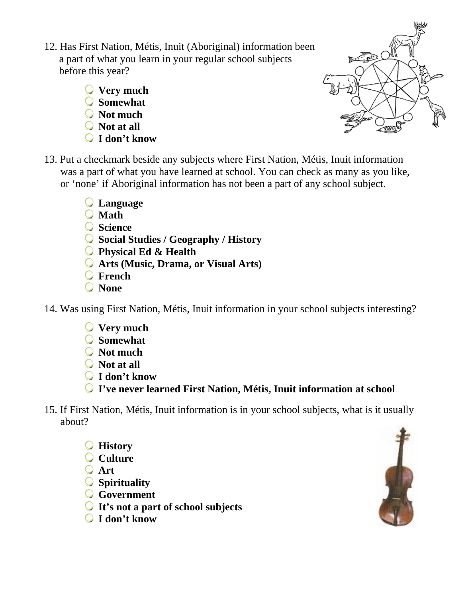- 12. Has First Nation, Métis, Inuit (Aboriginal) information been a part of what you learn in your regular school subjects before this year?
	- **Very much**
	- **Somewhat**
	- **Not much**
	- **Not at all**
	- **I don't know**



- 13. Put a checkmark beside any subjects where First Nation, Métis, Inuit information was a part of what you have learned at school. You can check as many as you like, or 'none' if Aboriginal information has not been a part of any school subject.
	- **Language**
	- **Math**
	- **Science**
	- **Social Studies / Geography / History**
	- **Physical Ed & Health**
	- **Arts (Music, Drama, or Visual Arts)**
	- **French**
	- **None**
- 14. Was using First Nation, Métis, Inuit information in your school subjects interesting?
	- **Very much**
	- **Somewhat**
	- **Not much**
	- **Not at all**
	- **I don't know**
	- **I've never learned First Nation, Métis, Inuit information at school**
- 15. If First Nation, Métis, Inuit information is in your school subjects, what is it usually about?
	- **History**
	- **Culture**
	- **Art**
	- **Spirituality**
	- **Government**
	- **It's not a part of school subjects**
	- **I don't know**

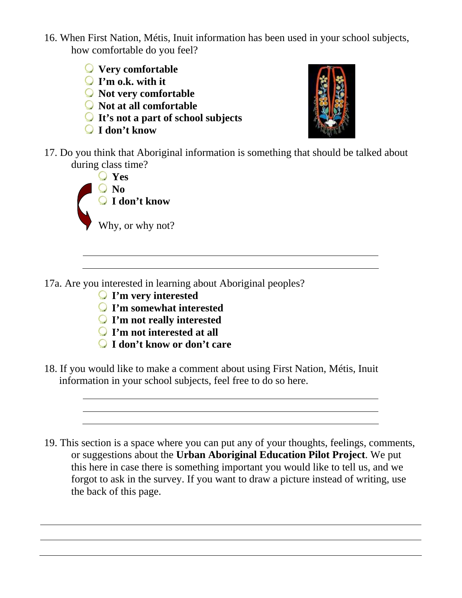- 16. When First Nation, Métis, Inuit information has been used in your school subjects, how comfortable do you feel?
	- **Very comfortable**
	- **I'm o.k. with it**
	- **Not very comfortable**
	- **Not at all comfortable**
	- **It's not a part of school subjects**
	- **I don't know**



17. Do you think that Aboriginal information is something that should be talked about during class time?



17a. Are you interested in learning about Aboriginal peoples?

- **I'm very interested**
- **I'm somewhat interested**
- **I'm not really interested**
- **I'm not interested at all**
- **I don't know or don't care**
- 18. If you would like to make a comment about using First Nation, Métis, Inuit information in your school subjects, feel free to do so here.
- 19. This section is a space where you can put any of your thoughts, feelings, comments, or suggestions about the **Urban Aboriginal Education Pilot Project**. We put this here in case there is something important you would like to tell us, and we forgot to ask in the survey. If you want to draw a picture instead of writing, use the back of this page.